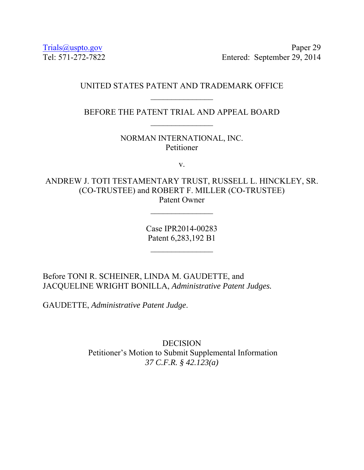Trials@uspto.gov Paper 29 Tel: 571-272-7822 Entered: September 29, 2014

## UNITED STATES PATENT AND TRADEMARK OFFICE

BEFORE THE PATENT TRIAL AND APPEAL BOARD  $\frac{1}{2}$ 

> NORMAN INTERNATIONAL, INC. Petitioner

> > v.

ANDREW J. TOTI TESTAMENTARY TRUST, RUSSELL L. HINCKLEY, SR. (CO-TRUSTEE) and ROBERT F. MILLER (CO-TRUSTEE) Patent Owner

 $\frac{1}{2}$ 

Case IPR2014-00283 Patent 6,283,192 B1

Before TONI R. SCHEINER, LINDA M. GAUDETTE, and JACQUELINE WRIGHT BONILLA, *Administrative Patent Judges.* 

GAUDETTE, *Administrative Patent Judge*.

DECISION Petitioner's Motion to Submit Supplemental Information *37 C.F.R. § 42.123(a)*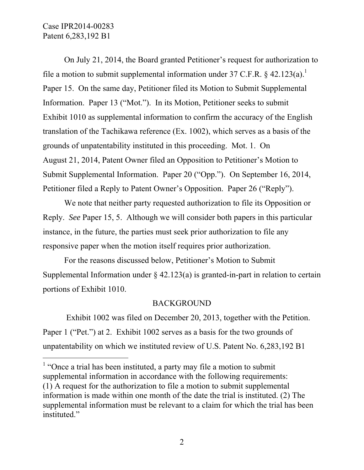-

On July 21, 2014, the Board granted Petitioner's request for authorization to file a motion to submit supplemental information under 37 C.F.R.  $\S$  42.123(a).<sup>1</sup> Paper 15. On the same day, Petitioner filed its Motion to Submit Supplemental Information. Paper 13 ("Mot."). In its Motion, Petitioner seeks to submit Exhibit 1010 as supplemental information to confirm the accuracy of the English translation of the Tachikawa reference (Ex. 1002), which serves as a basis of the grounds of unpatentability instituted in this proceeding. Mot. 1. On August 21, 2014, Patent Owner filed an Opposition to Petitioner's Motion to Submit Supplemental Information. Paper 20 ("Opp."). On September 16, 2014, Petitioner filed a Reply to Patent Owner's Opposition. Paper 26 ("Reply").

We note that neither party requested authorization to file its Opposition or Reply. *See* Paper 15, 5. Although we will consider both papers in this particular instance, in the future, the parties must seek prior authorization to file any responsive paper when the motion itself requires prior authorization.

For the reasons discussed below, Petitioner's Motion to Submit Supplemental Information under  $\frac{24.123(a)}{a}$  is granted-in-part in relation to certain portions of Exhibit 1010.

## BACKGROUND

 Exhibit 1002 was filed on December 20, 2013, together with the Petition. Paper 1 ("Pet.") at 2. Exhibit 1002 serves as a basis for the two grounds of unpatentability on which we instituted review of U.S. Patent No. 6,283,192 B1

<sup>&</sup>lt;sup>1</sup> "Once a trial has been instituted, a party may file a motion to submit supplemental information in accordance with the following requirements: (1) A request for the authorization to file a motion to submit supplemental information is made within one month of the date the trial is instituted. (2) The supplemental information must be relevant to a claim for which the trial has been instituted."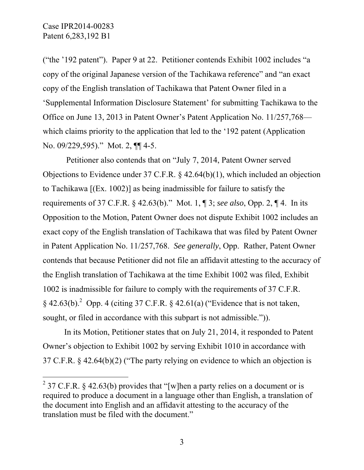-

("the '192 patent"). Paper 9 at 22. Petitioner contends Exhibit 1002 includes "a copy of the original Japanese version of the Tachikawa reference" and "an exact copy of the English translation of Tachikawa that Patent Owner filed in a 'Supplemental Information Disclosure Statement' for submitting Tachikawa to the Office on June 13, 2013 in Patent Owner's Patent Application No. 11/257,768 which claims priority to the application that led to the '192 patent (Application No. 09/229,595)." Mot. 2, ¶[ 4-5.

 Petitioner also contends that on "July 7, 2014, Patent Owner served Objections to Evidence under 37 C.F.R. § 42.64(b)(1), which included an objection to Tachikawa [(Ex. 1002)] as being inadmissible for failure to satisfy the requirements of 37 C.F.R. § 42.63(b)." Mot. 1, ¶ 3; *see also*, Opp. 2, ¶ 4. In its Opposition to the Motion, Patent Owner does not dispute Exhibit 1002 includes an exact copy of the English translation of Tachikawa that was filed by Patent Owner in Patent Application No. 11/257,768. *See generally*, Opp. Rather, Patent Owner contends that because Petitioner did not file an affidavit attesting to the accuracy of the English translation of Tachikawa at the time Exhibit 1002 was filed, Exhibit 1002 is inadmissible for failure to comply with the requirements of 37 C.F.R.  $\S$  42.63(b).<sup>2</sup> Opp. 4 (citing 37 C.F.R.  $\S$  42.61(a) ("Evidence that is not taken, sought, or filed in accordance with this subpart is not admissible.")).

In its Motion, Petitioner states that on July 21, 2014, it responded to Patent Owner's objection to Exhibit 1002 by serving Exhibit 1010 in accordance with 37 C.F.R. § 42.64(b)(2) ("The party relying on evidence to which an objection is

<sup>&</sup>lt;sup>2</sup> 37 C.F.R. § 42.63(b) provides that "[w]hen a party relies on a document or is required to produce a document in a language other than English, a translation of the document into English and an affidavit attesting to the accuracy of the translation must be filed with the document."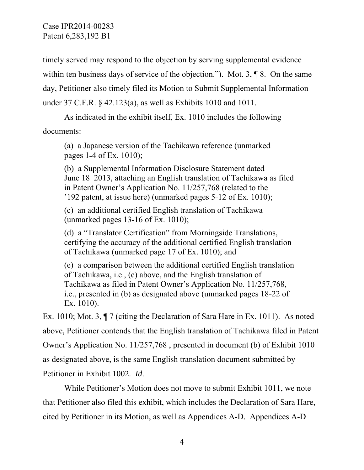timely served may respond to the objection by serving supplemental evidence within ten business days of service of the objection."). Mot. 3,  $\P$ 8. On the same day, Petitioner also timely filed its Motion to Submit Supplemental Information under 37 C.F.R. § 42.123(a), as well as Exhibits 1010 and 1011.

As indicated in the exhibit itself, Ex. 1010 includes the following documents:

(a) a Japanese version of the Tachikawa reference (unmarked pages 1-4 of Ex. 1010);

(b) a Supplemental Information Disclosure Statement dated June 18 2013, attaching an English translation of Tachikawa as filed in Patent Owner's Application No. 11/257,768 (related to the '192 patent, at issue here) (unmarked pages  $5-12$  of Ex. 1010);

(c) an additional certified English translation of Tachikawa (unmarked pages  $13-16$  of Ex. 1010);

(d) a "Translator Certification" from Morningside Translations, certifying the accuracy of the additional certified English translation of Tachikawa (unmarked page 17 of Ex. 1010); and

(e) a comparison between the additional certified English translation of Tachikawa, i.e., (c) above, and the English translation of Tachikawa as filed in Patent Owner's Application No. 11/257,768, i.e., presented in (b) as designated above (unmarked pages 18–22 of Ex. 1010).

Ex. 1010; Mot. 3, ¶ 7 (citing the Declaration of Sara Hare in Ex. 1011). As noted above, Petitioner contends that the English translation of Tachikawa filed in Patent Owner's Application No. 11/257,768 , presented in document (b) of Exhibit 1010 as designated above, is the same English translation document submitted by Petitioner in Exhibit 1002. *Id*.

While Petitioner's Motion does not move to submit Exhibit 1011, we note that Petitioner also filed this exhibit, which includes the Declaration of Sara Hare, cited by Petitioner in its Motion, as well as Appendices A-D. Appendices A-D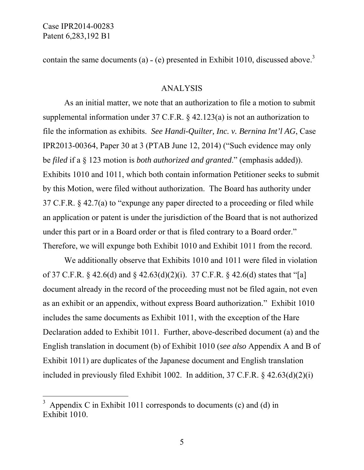-

contain the same documents (a)  $-$  (e) presented in Exhibit 1010, discussed above.<sup>3</sup>

### ANALYSIS

As an initial matter, we note that an authorization to file a motion to submit supplemental information under 37 C.F.R. § 42.123(a) is not an authorization to file the information as exhibits. *See Handi-Quilter, Inc. v. Bernina Int'l AG*, Case IPR2013-00364, Paper 30 at 3 (PTAB June 12, 2014) ("Such evidence may only be *filed* if a § 123 motion is *both authorized and granted*." (emphasis added)). Exhibits 1010 and 1011, which both contain information Petitioner seeks to submit by this Motion, were filed without authorization. The Board has authority under 37 C.F.R. § 42.7(a) to "expunge any paper directed to a proceeding or filed while an application or patent is under the jurisdiction of the Board that is not authorized under this part or in a Board order or that is filed contrary to a Board order." Therefore, we will expunge both Exhibit 1010 and Exhibit 1011 from the record.

We additionally observe that Exhibits 1010 and 1011 were filed in violation of 37 C.F.R. § 42.6(d) and § 42.63(d)(2)(i). 37 C.F.R. § 42.6(d) states that "[a] document already in the record of the proceeding must not be filed again, not even as an exhibit or an appendix, without express Board authorization." Exhibit 1010 includes the same documents as Exhibit 1011, with the exception of the Hare Declaration added to Exhibit 1011. Further, above-described document (a) and the English translation in document (b) of Exhibit 1010 (*see also* Appendix A and B of Exhibit 1011) are duplicates of the Japanese document and English translation included in previously filed Exhibit 1002. In addition, 37 C.F.R. § 42.63(d)(2)(i)

<sup>3</sup> Appendix C in Exhibit 1011 corresponds to documents (c) and (d) in Exhibit 1010.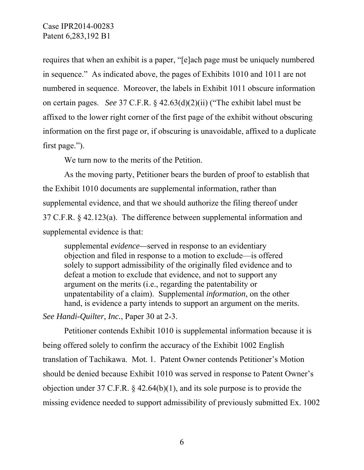requires that when an exhibit is a paper, "[e]ach page must be uniquely numbered in sequence." As indicated above, the pages of Exhibits 1010 and 1011 are not numbered in sequence. Moreover, the labels in Exhibit 1011 obscure information on certain pages. *See* 37 C.F.R. § 42.63(d)(2)(ii) ("The exhibit label must be affixed to the lower right corner of the first page of the exhibit without obscuring information on the first page or, if obscuring is unavoidable, affixed to a duplicate first page.").

We turn now to the merits of the Petition.

As the moving party, Petitioner bears the burden of proof to establish that the Exhibit 1010 documents are supplemental information, rather than supplemental evidence, and that we should authorize the filing thereof under 37 C.F.R. § 42.123(a). The difference between supplemental information and supplemental evidence is that:

supplemental *evidence—*served in response to an evidentiary objection and filed in response to a motion to exclude—is offered solely to support admissibility of the originally filed evidence and to defeat a motion to exclude that evidence, and not to support any argument on the merits (i.e., regarding the patentability or unpatentability of a claim). Supplemental *information*, on the other hand, is evidence a party intends to support an argument on the merits.

*See Handi-Quilter, Inc.*, Paper 30 at 2-3.

 Petitioner contends Exhibit 1010 is supplemental information because it is being offered solely to confirm the accuracy of the Exhibit 1002 English translation of Tachikawa. Mot. 1. Patent Owner contends Petitioner's Motion should be denied because Exhibit 1010 was served in response to Patent Owner's objection under 37 C.F.R. § 42.64(b)(1), and its sole purpose is to provide the missing evidence needed to support admissibility of previously submitted Ex. 1002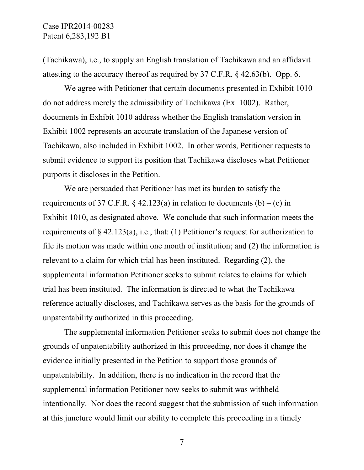(Tachikawa), i.e., to supply an English translation of Tachikawa and an affidavit attesting to the accuracy thereof as required by 37 C.F.R. § 42.63(b). Opp. 6.

We agree with Petitioner that certain documents presented in Exhibit 1010 do not address merely the admissibility of Tachikawa (Ex. 1002). Rather, documents in Exhibit 1010 address whether the English translation version in Exhibit 1002 represents an accurate translation of the Japanese version of Tachikawa, also included in Exhibit 1002. In other words, Petitioner requests to submit evidence to support its position that Tachikawa discloses what Petitioner purports it discloses in the Petition.

We are persuaded that Petitioner has met its burden to satisfy the requirements of 37 C.F.R.  $\&$  42.123(a) in relation to documents (b) – (e) in Exhibit 1010, as designated above. We conclude that such information meets the requirements of  $\S$  42.123(a), i.e., that: (1) Petitioner's request for authorization to file its motion was made within one month of institution; and (2) the information is relevant to a claim for which trial has been instituted. Regarding (2), the supplemental information Petitioner seeks to submit relates to claims for which trial has been instituted. The information is directed to what the Tachikawa reference actually discloses, and Tachikawa serves as the basis for the grounds of unpatentability authorized in this proceeding.

The supplemental information Petitioner seeks to submit does not change the grounds of unpatentability authorized in this proceeding, nor does it change the evidence initially presented in the Petition to support those grounds of unpatentability. In addition, there is no indication in the record that the supplemental information Petitioner now seeks to submit was withheld intentionally. Nor does the record suggest that the submission of such information at this juncture would limit our ability to complete this proceeding in a timely

7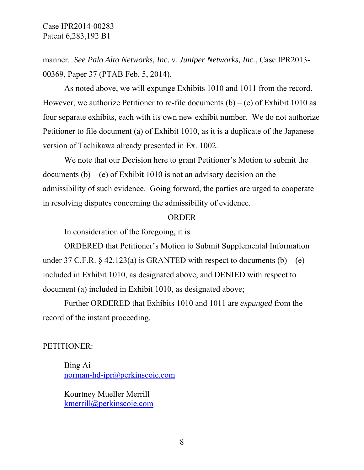manner. *See Palo Alto Networks, Inc. v. Juniper Networks, Inc.*, Case IPR2013- 00369, Paper 37 (PTAB Feb. 5, 2014).

As noted above, we will expunge Exhibits 1010 and 1011 from the record. However, we authorize Petitioner to re-file documents  $(b) - (e)$  of Exhibit 1010 as four separate exhibits, each with its own new exhibit number. We do not authorize Petitioner to file document (a) of Exhibit 1010, as it is a duplicate of the Japanese version of Tachikawa already presented in Ex. 1002.

We note that our Decision here to grant Petitioner's Motion to submit the documents  $(b) - (e)$  of Exhibit 1010 is not an advisory decision on the admissibility of such evidence. Going forward, the parties are urged to cooperate in resolving disputes concerning the admissibility of evidence.

#### ORDER

In consideration of the foregoing, it is

ORDERED that Petitioner's Motion to Submit Supplemental Information under 37 C.F.R.  $\S$  42.123(a) is GRANTED with respect to documents (b) – (e) included in Exhibit 1010, as designated above, and DENIED with respect to document (a) included in Exhibit 1010, as designated above;

Further ORDERED that Exhibits 1010 and 1011 are *expunged* from the record of the instant proceeding.

### PETITIONER:

Bing Ai norman-hd-ipr@perkinscoie.com

Kourtney Mueller Merrill kmerrill@perkinscoie.com